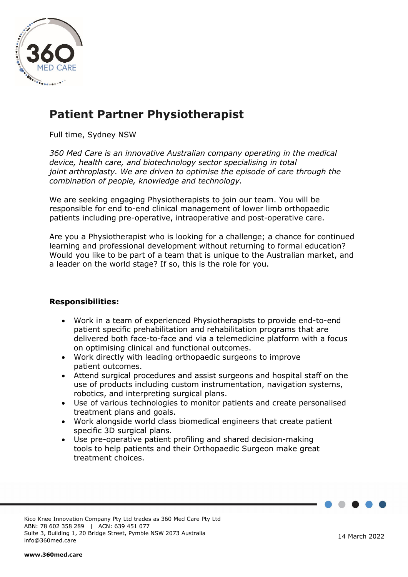

# **Patient Partner Physiotherapist**

Full time, Sydney NSW

*360 Med Care is an innovative Australian company operating in the medical device, health care, and biotechnology sector specialising in total joint arthroplasty. We are driven to optimise the episode of care through the combination of people, knowledge and technology.*

We are seeking engaging Physiotherapists to join our team. You will be responsible for end to-end clinical management of lower limb orthopaedic patients including pre-operative, intraoperative and post-operative care.

Are you a Physiotherapist who is looking for a challenge; a chance for continued learning and professional development without returning to formal education? Would you like to be part of a team that is unique to the Australian market, and a leader on the world stage? If so, this is the role for you.

### **Responsibilities:**

- Work in a team of experienced Physiotherapists to provide end-to-end patient specific prehabilitation and rehabilitation programs that are delivered both face-to-face and via a telemedicine platform with a focus on optimising clinical and functional outcomes.
- Work directly with leading orthopaedic surgeons to improve patient outcomes.
- Attend surgical procedures and assist surgeons and hospital staff on the use of products including custom instrumentation, navigation systems, robotics, and interpreting surgical plans.
- Use of various technologies to monitor patients and create personalised treatment plans and goals.
- Work alongside world class biomedical engineers that create patient specific 3D surgical plans.
- Use pre-operative patient profiling and shared decision-making tools to help patients and their Orthopaedic Surgeon make great treatment choices.